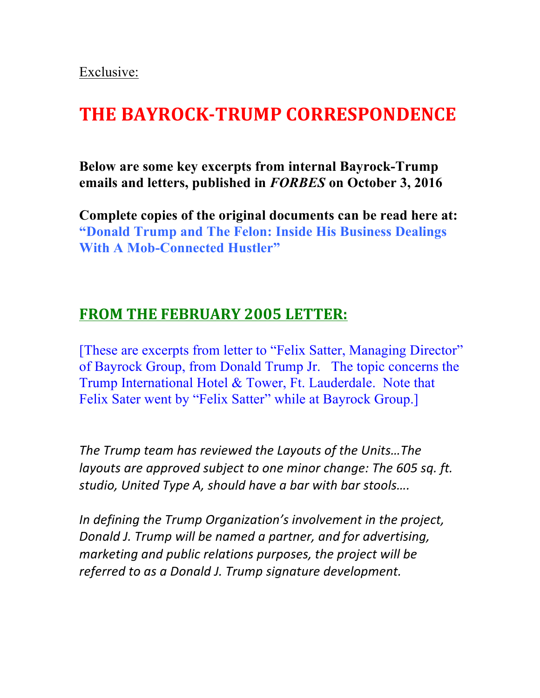Exclusive:

# **THE BAYROCK-TRUMP CORRESPONDENCE**

**Below are some key excerpts from internal Bayrock-Trump emails and letters, published in** *FORBES* **on October 3, 2016**

**Complete copies of the original documents can be read here at: ["Donald Trump and The Felon: Inside His Business Dealings](https://www.forbes.com/sites/richardbehar/2016/10/03/donald-trump-and-the-felon-inside-his-business-dealings-with-a-mob-connected-hustler/#608f88742282)  With A Mob-Connected Hustler"** 

#### **FROM THE FEBRUARY 2005 LETTER:**

[These are excerpts from letter to "Felix Satter, Managing Director" of Bayrock Group, from Donald Trump Jr. The topic concerns the Trump International Hotel & Tower, Ft. Lauderdale. Note that Felix Sater went by "Felix Satter" while at Bayrock Group.]

The Trump team has reviewed the Layouts of the Units...The *layouts* are approved subject to one minor change: The 605 sq. ft. studio, United Type A, should have a bar with bar stools....

In defining the Trump Organization's involvement in the project, *Donald J. Trump will be named a partner, and for advertising, marketing and public relations purposes, the project will be* referred to as a Donald J. Trump signature development.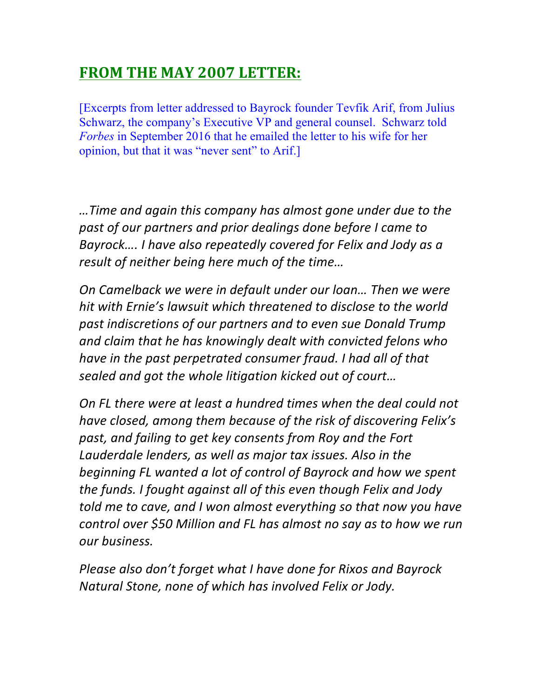# **FROM THE MAY 2007 LETTER:**

[Excerpts from letter addressed to Bayrock founder Tevfik Arif, from Julius Schwarz, the company's Executive VP and general counsel. Schwarz told *Forbes* in September 2016 that he emailed the letter to his wife for her opinion, but that it was "never sent" to Arif.]

*…Time and again this company has almost gone under due to the*  past of our partners and prior dealings done before I came to *Bayrock.... I have also repeatedly covered for Felix and Jody as a result of neither being here much of the time...* 

*On Camelback we were in default under our loan... Then we were* hit with Ernie's lawsuit which threatened to disclose to the world past indiscretions of our partners and to even sue Donald Trump and claim that he has knowingly dealt with convicted felons who *have in the past perpetrated consumer fraud. I had all of that* sealed and got the whole litigation kicked out of court...

*On FL* there were at least a hundred times when the deal could not have closed, among them because of the risk of discovering Felix's past, and failing to get key consents from Roy and the Fort Lauderdale lenders, as well as major tax issues. Also in the *beginning FL wanted a lot of control of Bayrock and how we spent the funds. I fought against all of this even though Felix and Jody told* me to cave, and I won almost everything so that now you have *control* over \$50 Million and FL has almost no say as to how we run *our business.*

*Please also don't forget what I have done for Rixos and Bayrock Natural Stone, none of which has involved Felix or Jody.*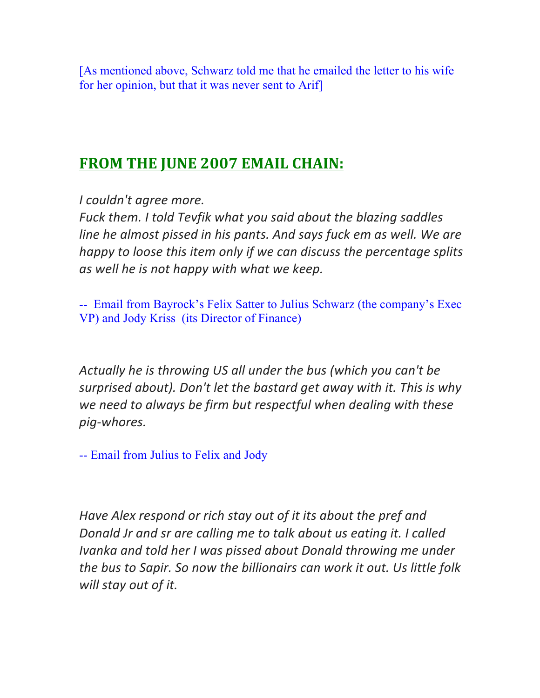[As mentioned above, Schwarz told me that he emailed the letter to his wife for her opinion, but that it was never sent to Arif]

## **FROM THE JUNE 2007 EMAIL CHAIN:**

*I* couldn't agree more.

Fuck them. I told Tevfik what you said about the blazing saddles *line he almost pissed in his pants. And says fuck em as well. We are happy* to loose this item only if we can discuss the percentage splits *as* well he is not happy with what we keep.

-- Email from Bayrock's Felix Satter to Julius Schwarz (the company's Exec VP) and Jody Kriss (its Director of Finance)

Actually he is throwing US all under the bus (which you can't be *surprised about). Don't let the bastard get away with it. This is why* we need to always be firm but respectful when dealing with these *pig-whores.*

-- Email from Julius to Felix and Jody

Have Alex respond or rich stay out of it its about the pref and *Donald Jr and sr are calling me to talk about us eating it. I called Ivanka and told her I was pissed about Donald throwing me under the bus to Sapir. So now the billionairs can work it out. Us little folk* will stay out of it.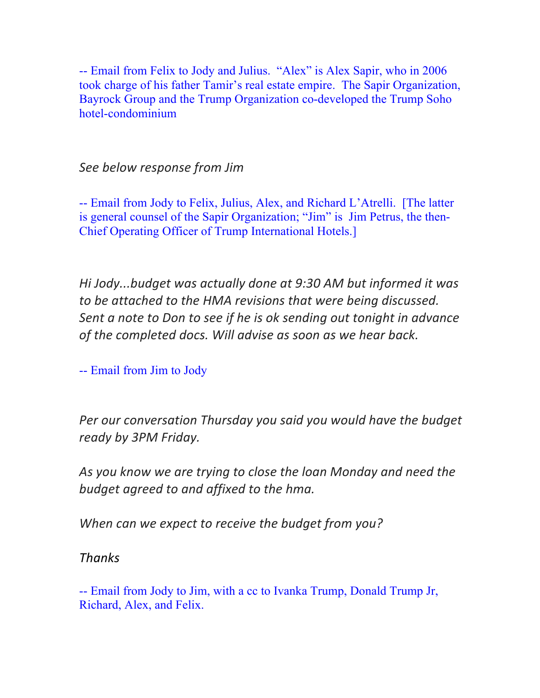-- Email from Felix to Jody and Julius. "Alex" is Alex Sapir, who in 2006 took charge of his father Tamir's real estate empire. The Sapir Organization, Bayrock Group and the Trump Organization co-developed the Trump Soho hotel-condominium

*See below response from Jim*

-- Email from Jody to Felix, Julius, Alex, and Richard L'Atrelli. [The latter is general counsel of the Sapir Organization; "Jim" is Jim Petrus, the then-Chief Operating Officer of Trump International Hotels.]

*Hi Jody...budget* was actually done at 9:30 AM but informed it was *to be attached to the HMA revisions that were being discussed. Sent a note to Don to see if he is ok sending out tonight in advance* of the completed docs. Will advise as soon as we hear back.

-- Email from Jim to Jody

Per our conversation Thursday you said you would have the budget *ready by 3PM Friday.*

As you know we are trying to close the loan Monday and need the *budget agreed to and affixed to the hma.* 

*When can we expect to receive the budget from you?* 

*Thanks*

-- Email from Jody to Jim, with a cc to Ivanka Trump, Donald Trump Jr, Richard, Alex, and Felix.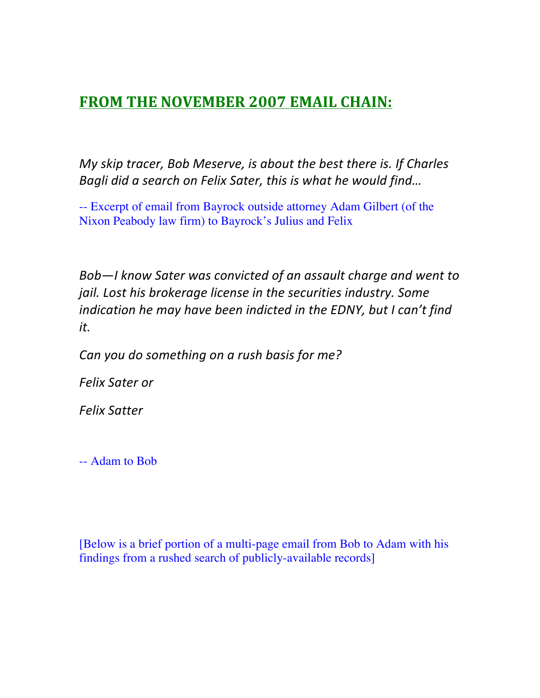## **FROM THE NOVEMBER 2007 EMAIL CHAIN:**

*My skip tracer, Bob Meserve, is about the best there is. If Charles Bagli did a search on Felix Sater, this is what he would find...* 

-- Excerpt of email from Bayrock outside attorney Adam Gilbert (of the Nixon Peabody law firm) to Bayrock's Julius and Felix

Bob-I know Sater was convicted of an assault charge and went to *jail.* Lost his brokerage license in the securities industry. Some *indication he may have been indicted in the EDNY, but I can't find it.* 

*Can you do something on a rush basis for me?*

*Felix Sater or* 

*Felix Satter*

-- Adam to Bob

[Below is a brief portion of a multi-page email from Bob to Adam with his findings from a rushed search of publicly-available records]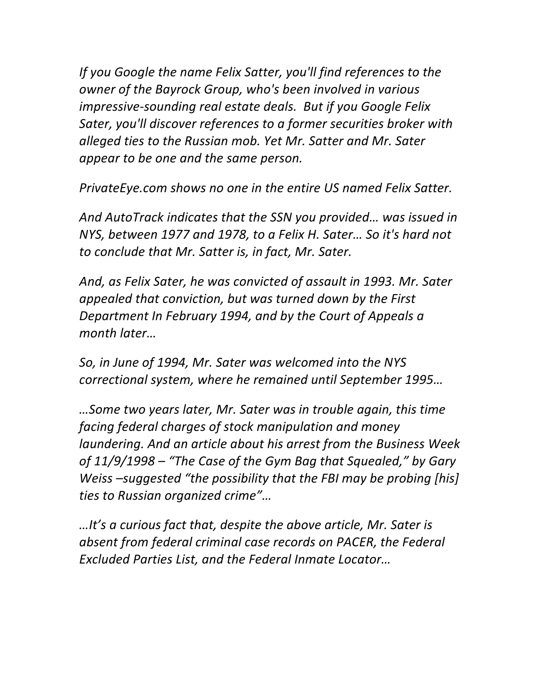*If* you Google the name Felix Satter, you'll find references to the *owner of the Bayrock Group, who's been involved in various impressive-sounding real estate deals. But if you Google Felix Sater, you'll discover references to a former securities broker with alleged ties to the Russian mob. Yet Mr. Satter and Mr. Sater appear to be one and the same person.* 

*PrivateEye.com shows no one in the entire US named Felix Satter.* 

And AutoTrack indicates that the SSN you provided... was issued in *NYS, between 1977 and 1978, to a Felix H. Sater... So it's hard not* to conclude that Mr. Satter is, in fact, Mr. Sater.

And, as Felix Sater, he was convicted of assault in 1993. Mr. Sater appealed that conviction, but was turned down by the First *Department In February 1994, and by the Court of Appeals a month later…*

So, in June of 1994, Mr. Sater was welcomed into the NYS *correctional system, where he remained until September 1995…*

*…Some two years later, Mr. Sater was in trouble again, this time facing federal charges of stock manipulation and money laundering. And an article about his arrest from the Business Week* of  $11/9/1998$  – "The Case of the Gym Bag that Squealed," by Gary *Weiss* –suggested "the possibility that the FBI may be probing [his] *ties to Russian organized crime"…*

*…It's a curious fact that, despite the above article, Mr. Sater is absent from federal criminal case records on PACER, the Federal Excluded Parties List, and the Federal Inmate Locator…*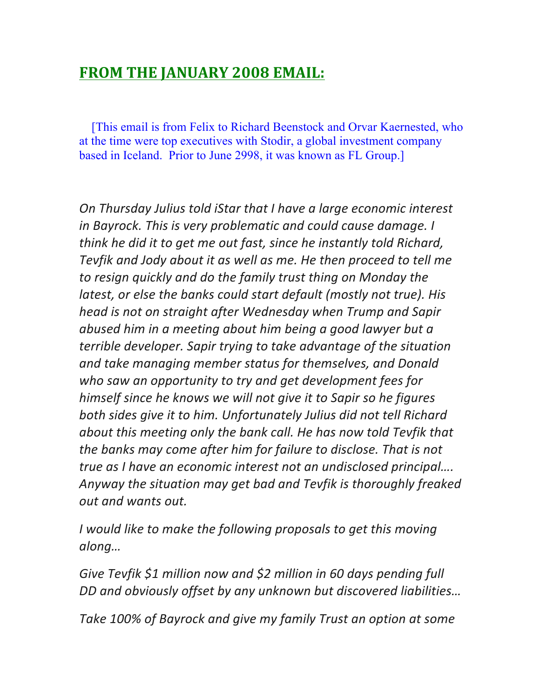#### **FROM THE JANUARY 2008 EMAIL:**

 [This email is from Felix to Richard Beenstock and Orvar Kaernested, who at the time were top executives with Stodir, a global investment company based in Iceland. Prior to June 2998, it was known as FL Group.]

*On Thursday Julius told iStar that I have a large economic interest in Bayrock. This is very problematic and could cause damage. I think* he did it to get me out fast, since he instantly told Richard, Tevfik and Jody about it as well as me. He then proceed to tell me to resign quickly and do the family trust thing on Monday the *latest, or else the banks could start default (mostly not true). His head is not on straight after Wednesday when Trump and Sapir* abused him in a meeting about him being a good lawyer but a *terrible developer.* Sapir trying to take advantage of the situation and *take managing member status for themselves, and Donald* who saw an opportunity to try and get development fees for *himself since he knows we will not give it to Sapir so he figures* both sides give it to him. Unfortunately Julius did not tell Richard *about this meeting only the bank call. He has now told Tevfik that the banks may come after him for failure to disclose. That is not true* as *I* have an economic interest not an undisclosed principal.... Anyway the situation may get bad and Tevfik is thoroughly freaked *out and wants out.*

*I* would like to make the following proposals to get this moving *along…*

Give Tevfik \$1 million now and \$2 million in 60 days pending full *DD* and obviously offset by any unknown but discovered liabilities...

Take 100% of Bayrock and give my family Trust an option at some